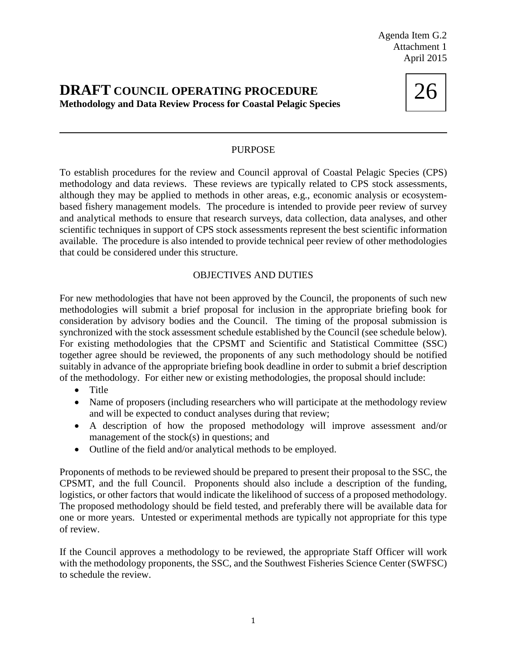Agenda Item G.2 Attachment 1 April 2015

## **DRAFT COUNCIL OPERATING PROCEDURE Methodology and Data Review Process for Coastal Pelagic Species**

26

## PURPOSE

To establish procedures for the review and Council approval of Coastal Pelagic Species (CPS) methodology and data reviews. These reviews are typically related to CPS stock assessments, although they may be applied to methods in other areas, e.g., economic analysis or ecosystembased fishery management models. The procedure is intended to provide peer review of survey and analytical methods to ensure that research surveys, data collection, data analyses, and other scientific techniques in support of CPS stock assessments represent the best scientific information available. The procedure is also intended to provide technical peer review of other methodologies that could be considered under this structure.

## OBJECTIVES AND DUTIES

For new methodologies that have not been approved by the Council, the proponents of such new methodologies will submit a brief proposal for inclusion in the appropriate briefing book for consideration by advisory bodies and the Council. The timing of the proposal submission is synchronized with the stock assessment schedule established by the Council (see schedule below). For existing methodologies that the CPSMT and Scientific and Statistical Committee (SSC) together agree should be reviewed, the proponents of any such methodology should be notified suitably in advance of the appropriate briefing book deadline in order to submit a brief description of the methodology. For either new or existing methodologies, the proposal should include:

- Title
- Name of proposers (including researchers who will participate at the methodology review and will be expected to conduct analyses during that review;
- A description of how the proposed methodology will improve assessment and/or management of the stock(s) in questions; and
- Outline of the field and/or analytical methods to be employed.

Proponents of methods to be reviewed should be prepared to present their proposal to the SSC, the CPSMT, and the full Council. Proponents should also include a description of the funding, logistics, or other factors that would indicate the likelihood of success of a proposed methodology. The proposed methodology should be field tested, and preferably there will be available data for one or more years. Untested or experimental methods are typically not appropriate for this type of review.

If the Council approves a methodology to be reviewed, the appropriate Staff Officer will work with the methodology proponents, the SSC, and the Southwest Fisheries Science Center (SWFSC) to schedule the review.